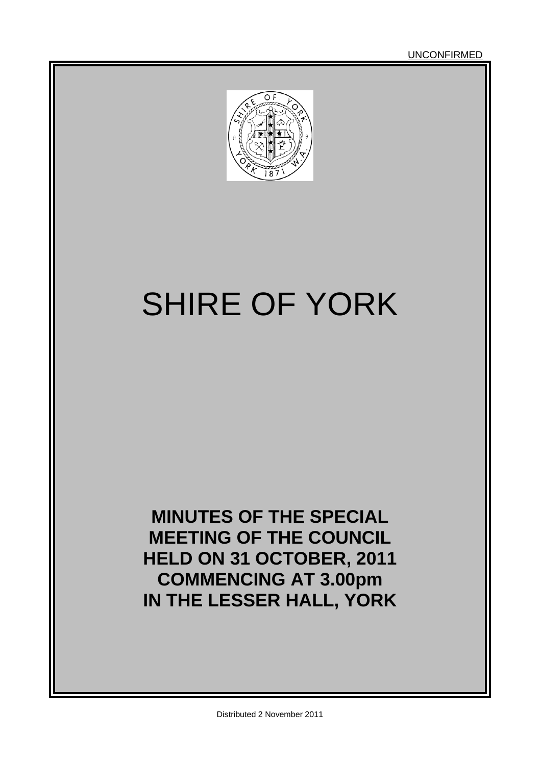UNCONFIRMED



# SHIRE OF YORK

**MINUTES OF THE SPECIAL MEETING OF THE COUNCIL HELD ON 31 OCTOBER, 2011 COMMENCING AT 3.00pm IN THE LESSER HALL, YORK**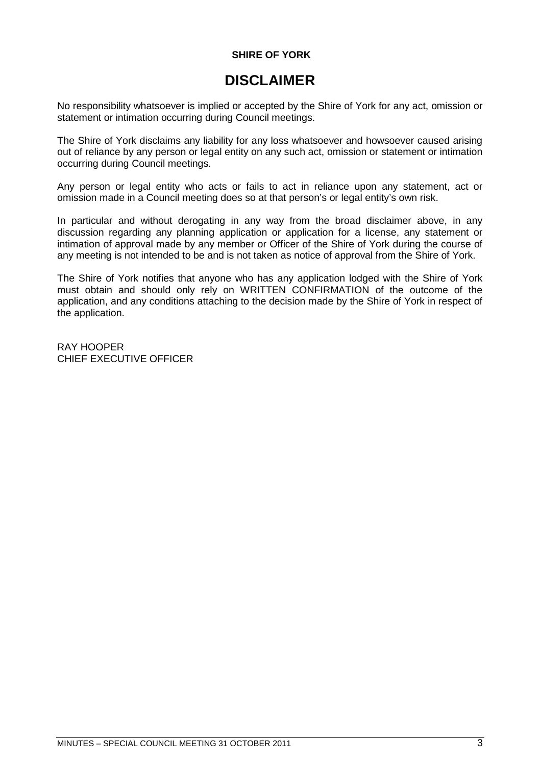### **SHIRE OF YORK**

### **DISCLAIMER**

No responsibility whatsoever is implied or accepted by the Shire of York for any act, omission or statement or intimation occurring during Council meetings.

The Shire of York disclaims any liability for any loss whatsoever and howsoever caused arising out of reliance by any person or legal entity on any such act, omission or statement or intimation occurring during Council meetings.

Any person or legal entity who acts or fails to act in reliance upon any statement, act or omission made in a Council meeting does so at that person's or legal entity's own risk.

In particular and without derogating in any way from the broad disclaimer above, in any discussion regarding any planning application or application for a license, any statement or intimation of approval made by any member or Officer of the Shire of York during the course of any meeting is not intended to be and is not taken as notice of approval from the Shire of York.

The Shire of York notifies that anyone who has any application lodged with the Shire of York must obtain and should only rely on WRITTEN CONFIRMATION of the outcome of the application, and any conditions attaching to the decision made by the Shire of York in respect of the application.

RAY HOOPER CHIEF EXECUTIVE OFFICER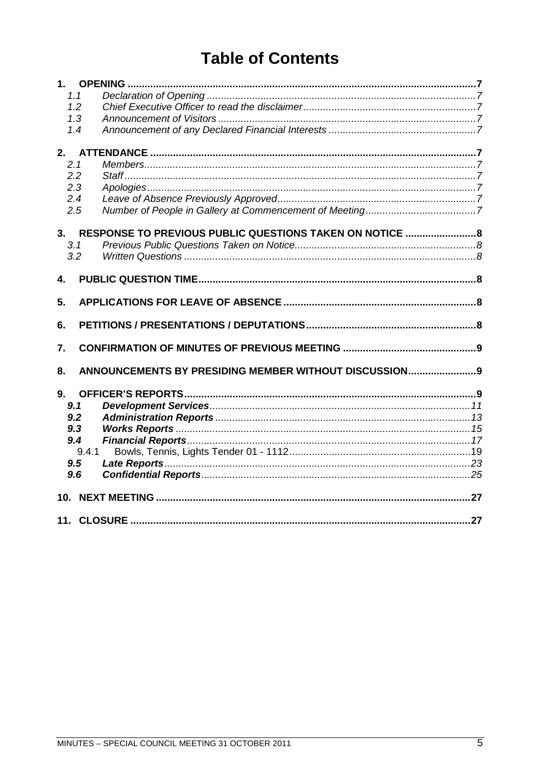## **Table of Contents**

| 1.1 |                                                          |  |  |  |
|-----|----------------------------------------------------------|--|--|--|
| 1.2 |                                                          |  |  |  |
| 1.3 |                                                          |  |  |  |
| 1.4 |                                                          |  |  |  |
|     |                                                          |  |  |  |
| 2.  |                                                          |  |  |  |
| 2.1 |                                                          |  |  |  |
| 2.2 |                                                          |  |  |  |
| 2.3 |                                                          |  |  |  |
| 2.4 |                                                          |  |  |  |
| 2.5 |                                                          |  |  |  |
| 3.  | RESPONSE TO PREVIOUS PUBLIC QUESTIONS TAKEN ON NOTICE  8 |  |  |  |
| 3.1 |                                                          |  |  |  |
| 3.2 |                                                          |  |  |  |
|     |                                                          |  |  |  |
| 4.  |                                                          |  |  |  |
|     |                                                          |  |  |  |
| 5.  |                                                          |  |  |  |
| 6.  |                                                          |  |  |  |
| 7.  |                                                          |  |  |  |
|     |                                                          |  |  |  |
| 8.  | ANNOUNCEMENTS BY PRESIDING MEMBER WITHOUT DISCUSSION 9   |  |  |  |
| 9.  |                                                          |  |  |  |
| 9.1 |                                                          |  |  |  |
| 9.2 |                                                          |  |  |  |
| 9.3 |                                                          |  |  |  |
| 9.4 |                                                          |  |  |  |
|     | 9.4.1                                                    |  |  |  |
| 9.5 |                                                          |  |  |  |
| 9.6 |                                                          |  |  |  |
|     |                                                          |  |  |  |
| 10. |                                                          |  |  |  |
|     |                                                          |  |  |  |
|     |                                                          |  |  |  |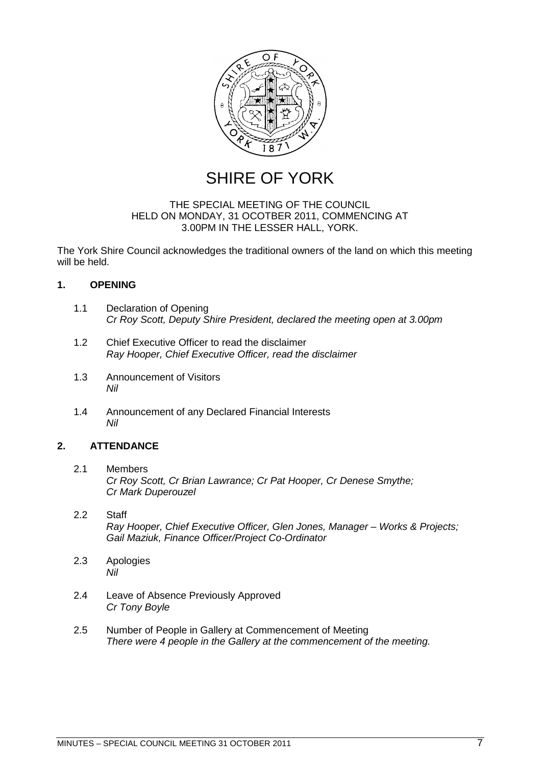

SHIRE OF YORK

### THE SPECIAL MEETING OF THE COUNCIL HELD ON MONDAY, 31 OCOTBER 2011, COMMENCING AT 3.00PM IN THE LESSER HALL, YORK.

The York Shire Council acknowledges the traditional owners of the land on which this meeting will be held.

### <span id="page-6-0"></span>**1. OPENING**

- <span id="page-6-1"></span>1.1 Declaration of Opening *Cr Roy Scott, Deputy Shire President, declared the meeting open at 3.00pm*
- <span id="page-6-2"></span>1.2 Chief Executive Officer to read the disclaimer *Ray Hooper, Chief Executive Officer, read the disclaimer*
- <span id="page-6-3"></span>1.3 Announcement of Visitors *Nil*
- <span id="page-6-5"></span><span id="page-6-4"></span>1.4 Announcement of any Declared Financial Interests *Nil*

### **2. ATTENDANCE**

- <span id="page-6-6"></span>2.1 Members *Cr Roy Scott, Cr Brian Lawrance; Cr Pat Hooper, Cr Denese Smythe; Cr Mark Duperouzel*
- <span id="page-6-7"></span>2.2 Staff *Ray Hooper, Chief Executive Officer, Glen Jones, Manager – Works & Projects; Gail Maziuk, Finance Officer/Project Co-Ordinator*
- <span id="page-6-8"></span>2.3 Apologies *Nil*
- <span id="page-6-9"></span>2.4 Leave of Absence Previously Approved *Cr Tony Boyle*
- <span id="page-6-10"></span>2.5 Number of People in Gallery at Commencement of Meeting *There were 4 people in the Gallery at the commencement of the meeting.*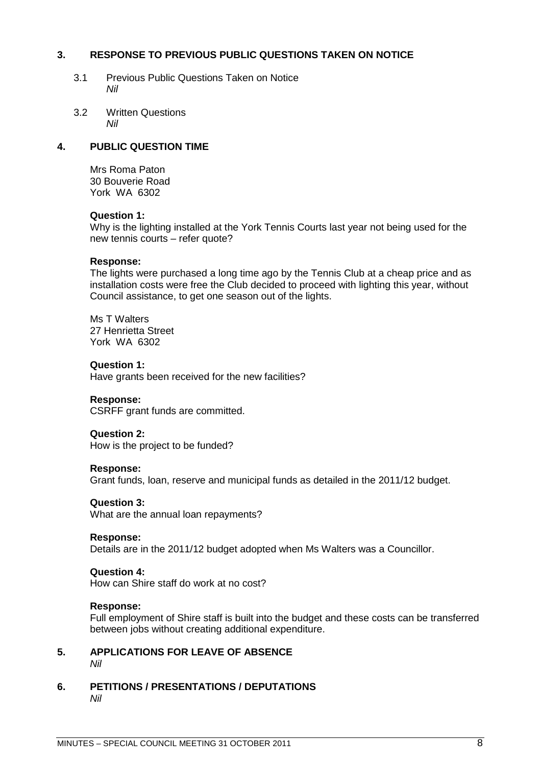### **3. RESPONSE TO PREVIOUS PUBLIC QUESTIONS TAKEN ON NOTICE**

- <span id="page-7-1"></span><span id="page-7-0"></span>3.1 Previous Public Questions Taken on Notice *Nil*
- <span id="page-7-2"></span>3.2 Written Questions *Nil*

### **4. PUBLIC QUESTION TIME**

<span id="page-7-3"></span>Mrs Roma Paton 30 Bouverie Road York WA 6302

### **Question 1:**

Why is the lighting installed at the York Tennis Courts last year not being used for the new tennis courts – refer quote?

### **Response:**

The lights were purchased a long time ago by the Tennis Club at a cheap price and as installation costs were free the Club decided to proceed with lighting this year, without Council assistance, to get one season out of the lights.

Ms T Walters 27 Henrietta Street York WA 6302

### **Question 1:**

Have grants been received for the new facilities?

### **Response:**

CSRFF grant funds are committed.

### **Question 2:**

How is the project to be funded?

### **Response:**

Grant funds, loan, reserve and municipal funds as detailed in the 2011/12 budget.

### **Question 3:**

What are the annual loan repayments?

### **Response:**

Details are in the 2011/12 budget adopted when Ms Walters was a Councillor.

### **Question 4:**

How can Shire staff do work at no cost?

### **Response:**

<span id="page-7-4"></span>Full employment of Shire staff is built into the budget and these costs can be transferred between jobs without creating additional expenditure.

- **5. APPLICATIONS FOR LEAVE OF ABSENCE** *Nil*
- <span id="page-7-5"></span>**6. PETITIONS / PRESENTATIONS / DEPUTATIONS** *Nil*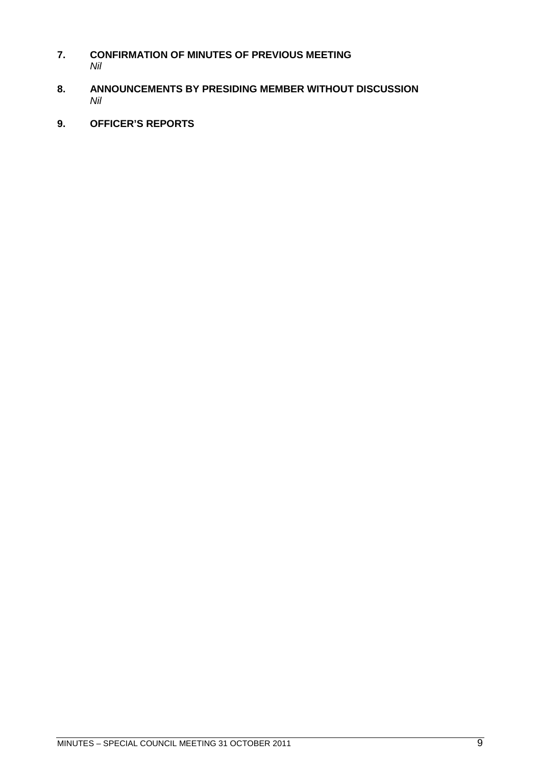- <span id="page-8-0"></span>**7. CONFIRMATION OF MINUTES OF PREVIOUS MEETING** *Nil*
- <span id="page-8-1"></span>**8. ANNOUNCEMENTS BY PRESIDING MEMBER WITHOUT DISCUSSION** *Nil*
- <span id="page-8-2"></span>**9. OFFICER'S REPORTS**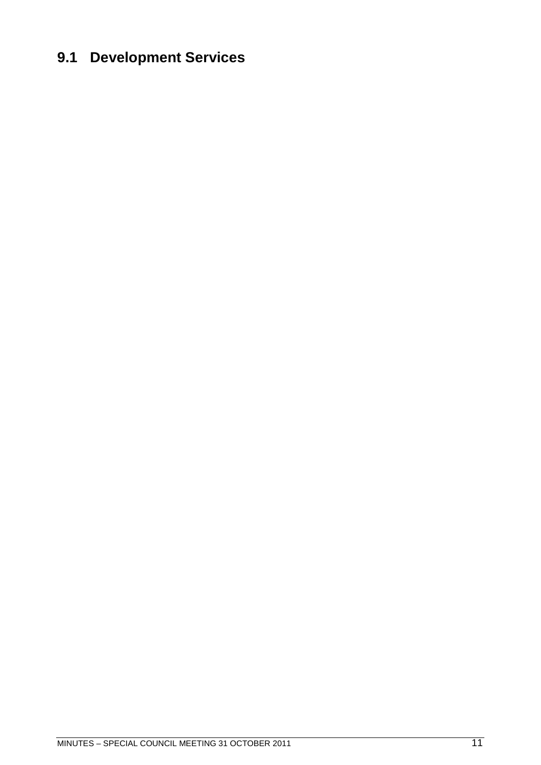## <span id="page-10-0"></span>**9.1 Development Services**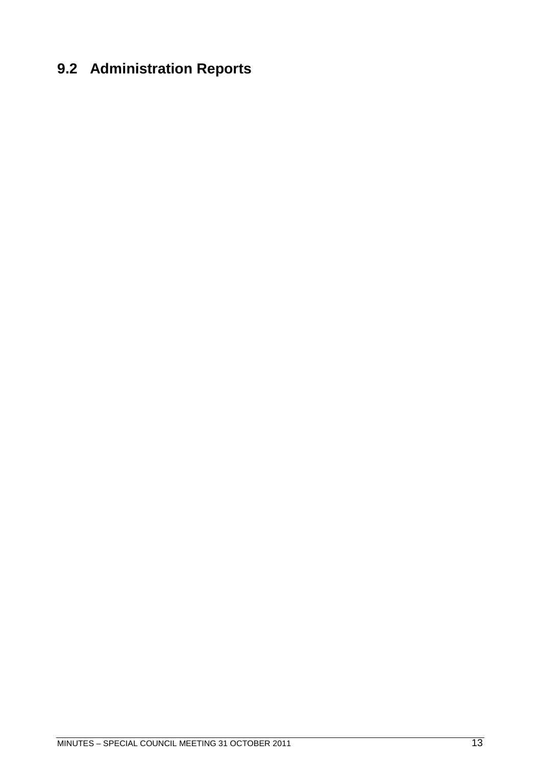# <span id="page-12-0"></span>**9.2 Administration Reports**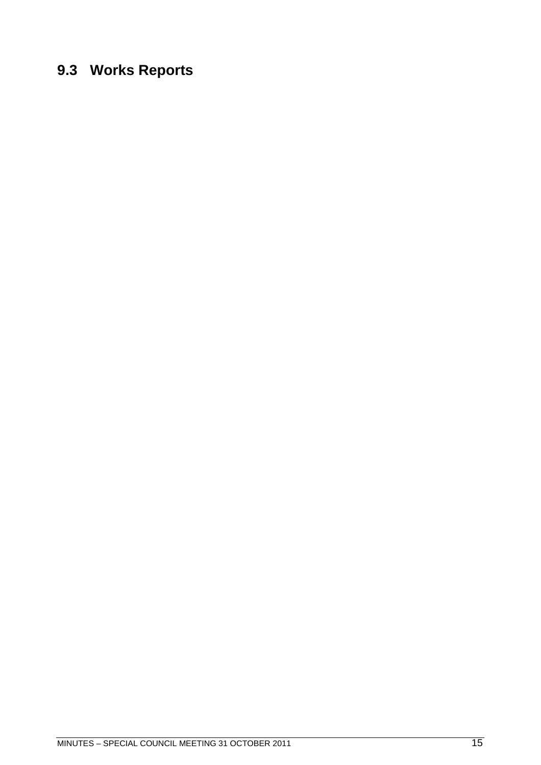## <span id="page-14-0"></span>**9.3 Works Reports**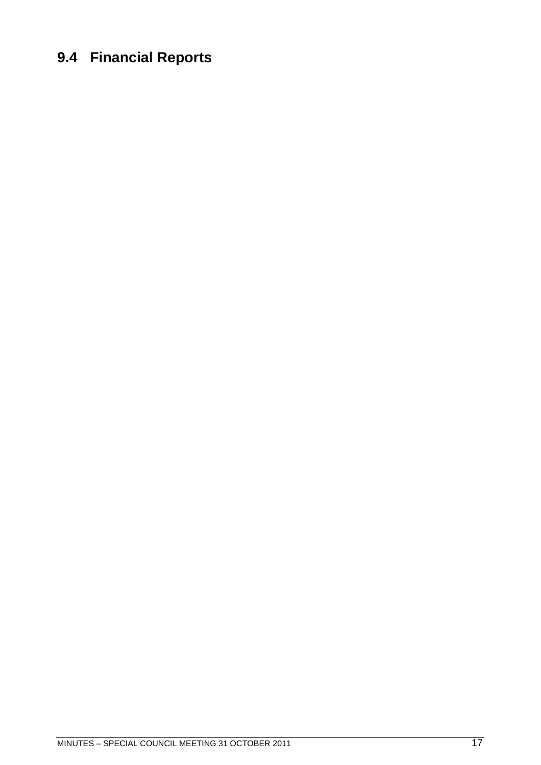## <span id="page-16-0"></span>**9.4 Financial Reports**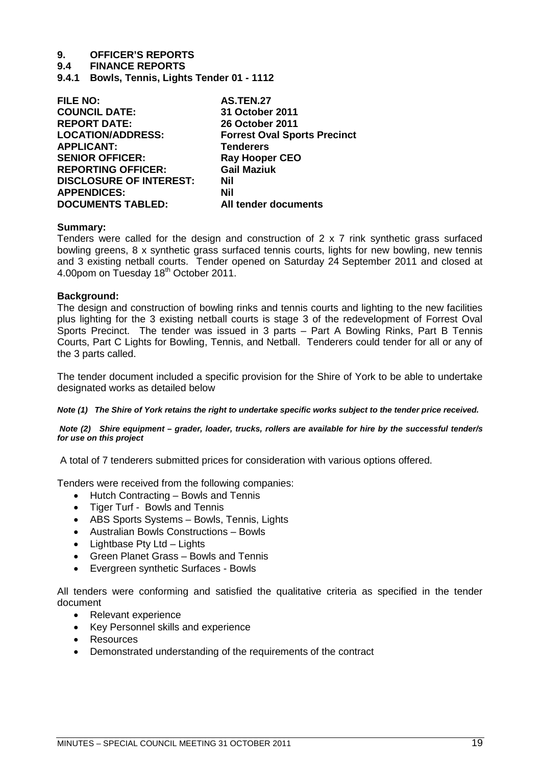# **9. OFFICER'S REPORTS**

### **9.4 FINANCE REPORTS**

<span id="page-18-0"></span>**9.4.1 Bowls, Tennis, Lights Tender 01 - 1112**

| <b>FILE NO:</b>                | <b>AS.TEN.27</b>                    |
|--------------------------------|-------------------------------------|
| <b>COUNCIL DATE:</b>           | 31 October 2011                     |
| <b>REPORT DATE:</b>            | <b>26 October 2011</b>              |
| <b>LOCATION/ADDRESS:</b>       | <b>Forrest Oval Sports Precinct</b> |
| <b>APPLICANT:</b>              | <b>Tenderers</b>                    |
| <b>SENIOR OFFICER:</b>         | <b>Ray Hooper CEO</b>               |
| <b>REPORTING OFFICER:</b>      | <b>Gail Maziuk</b>                  |
| <b>DISCLOSURE OF INTEREST:</b> | Nil                                 |
| <b>APPENDICES:</b>             | Nil                                 |
| <b>DOCUMENTS TABLED:</b>       | All tender documents                |

### **Summary:**

Tenders were called for the design and construction of 2 x 7 rink synthetic grass surfaced bowling greens, 8 x synthetic grass surfaced tennis courts, lights for new bowling, new tennis and 3 existing netball courts. Tender opened on Saturday 24 September 2011 and closed at 4.00pom on Tuesday 18<sup>th</sup> October 2011.

### **Background:**

The design and construction of bowling rinks and tennis courts and lighting to the new facilities plus lighting for the 3 existing netball courts is stage 3 of the redevelopment of Forrest Oval Sports Precinct. The tender was issued in 3 parts – Part A Bowling Rinks, Part B Tennis Courts, Part C Lights for Bowling, Tennis, and Netball. Tenderers could tender for all or any of the 3 parts called.

The tender document included a specific provision for the Shire of York to be able to undertake designated works as detailed below

*Note (1) The Shire of York retains the right to undertake specific works subject to the tender price received.*

*Note (2) Shire equipment – grader, loader, trucks, rollers are available for hire by the successful tender/s for use on this project*

A total of 7 tenderers submitted prices for consideration with various options offered.

Tenders were received from the following companies:

- Hutch Contracting Bowls and Tennis
- Tiger Turf Bowls and Tennis
- ABS Sports Systems Bowls, Tennis, Lights
- Australian Bowls Constructions Bowls
- Lightbase Pty Ltd Lights
- Green Planet Grass Bowls and Tennis
- Evergreen synthetic Surfaces Bowls

All tenders were conforming and satisfied the qualitative criteria as specified in the tender document

- Relevant experience
- Key Personnel skills and experience
- Resources
- Demonstrated understanding of the requirements of the contract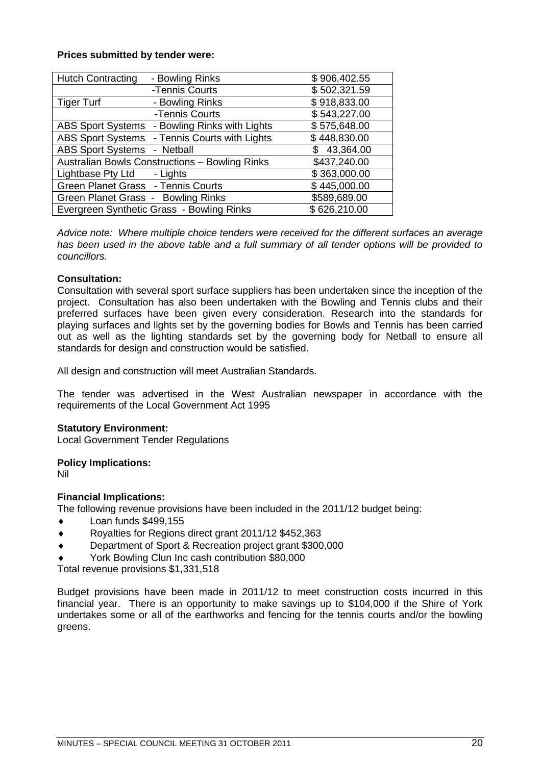### **Prices submitted by tender were:**

| <b>Hutch Contracting</b>           | - Bowling Rinks                                | \$906,402.55 |
|------------------------------------|------------------------------------------------|--------------|
|                                    | -Tennis Courts                                 | \$502,321.59 |
| <b>Tiger Turf</b>                  | - Bowling Rinks                                | \$918,833.00 |
|                                    | -Tennis Courts                                 | \$543,227.00 |
|                                    | ABS Sport Systems - Bowling Rinks with Lights  | \$575,648.00 |
|                                    | ABS Sport Systems - Tennis Courts with Lights  | \$448,830.00 |
| <b>ABS Sport Systems</b>           | - Netball                                      | \$43,364.00  |
|                                    | Australian Bowls Constructions - Bowling Rinks | \$437,240.00 |
| Lightbase Pty Ltd - Lights         |                                                | \$363,000.00 |
| Green Planet Grass - Tennis Courts |                                                | \$445,000.00 |
| Green Planet Grass - Bowling Rinks |                                                | \$589,689.00 |
|                                    | Evergreen Synthetic Grass - Bowling Rinks      | \$626,210.00 |

*Advice note: Where multiple choice tenders were received for the different surfaces an average has been used in the above table and a full summary of all tender options will be provided to councillors.*

### **Consultation:**

Consultation with several sport surface suppliers has been undertaken since the inception of the project. Consultation has also been undertaken with the Bowling and Tennis clubs and their preferred surfaces have been given every consideration. Research into the standards for playing surfaces and lights set by the governing bodies for Bowls and Tennis has been carried out as well as the lighting standards set by the governing body for Netball to ensure all standards for design and construction would be satisfied.

All design and construction will meet Australian Standards.

The tender was advertised in the West Australian newspaper in accordance with the requirements of the Local Government Act 1995

### **Statutory Environment:**

Local Government Tender Regulations

### **Policy Implications:**

Nil

### **Financial Implications:**

The following revenue provisions have been included in the 2011/12 budget being:

- Loan funds \$499,155
- ◆ Royalties for Regions direct grant 2011/12 \$452,363
- Department of Sport & Recreation project grant \$300,000
- York Bowling Clun Inc cash contribution \$80,000

Total revenue provisions \$1,331,518

Budget provisions have been made in 2011/12 to meet construction costs incurred in this financial year. There is an opportunity to make savings up to \$104,000 if the Shire of York undertakes some or all of the earthworks and fencing for the tennis courts and/or the bowling greens.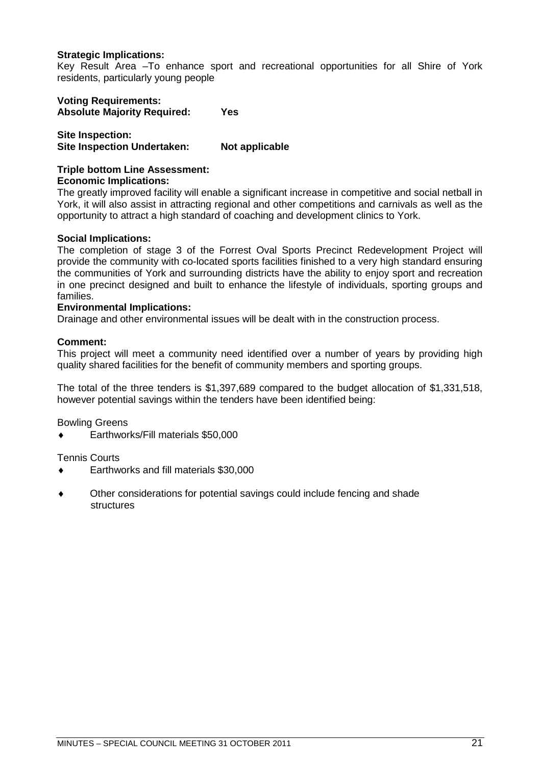### **Strategic Implications:**

Key Result Area –To enhance sport and recreational opportunities for all Shire of York residents, particularly young people

**Voting Requirements: Absolute Majority Required: Yes**

**Site Inspection: Site Inspection Undertaken: Not applicable**

#### **Triple bottom Line Assessment: Economic Implications:**

The greatly improved facility will enable a significant increase in competitive and social netball in York, it will also assist in attracting regional and other competitions and carnivals as well as the opportunity to attract a high standard of coaching and development clinics to York.

### **Social Implications:**

The completion of stage 3 of the Forrest Oval Sports Precinct Redevelopment Project will provide the community with co-located sports facilities finished to a very high standard ensuring the communities of York and surrounding districts have the ability to enjoy sport and recreation in one precinct designed and built to enhance the lifestyle of individuals, sporting groups and families.

### **Environmental Implications:**

Drainage and other environmental issues will be dealt with in the construction process.

### **Comment:**

This project will meet a community need identified over a number of years by providing high quality shared facilities for the benefit of community members and sporting groups.

The total of the three tenders is \$1,397,689 compared to the budget allocation of \$1,331,518, however potential savings within the tenders have been identified being:

Bowling Greens

Earthworks/Fill materials \$50,000

Tennis Courts

- Earthworks and fill materials \$30,000
- Other considerations for potential savings could include fencing and shade structures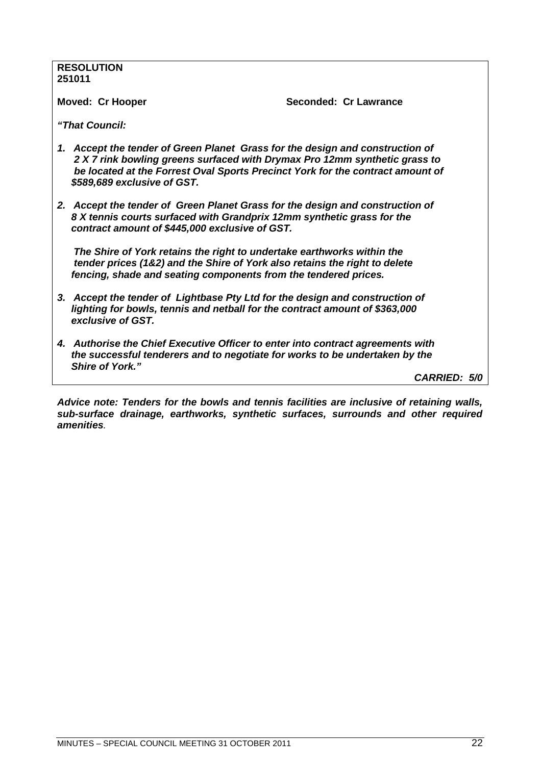### **RESOLUTION 251011 Moved: Cr Hooper Seconded: Cr Lawrance** *"That Council: 1. Accept the tender of Green Planet Grass for the design and construction of 2 X 7 rink bowling greens surfaced with Drymax Pro 12mm synthetic grass to be located at the Forrest Oval Sports Precinct York for the contract amount of \$589,689 exclusive of GST. 2. Accept the tender of Green Planet Grass for the design and construction of 8 X tennis courts surfaced with Grandprix 12mm synthetic grass for the contract amount of \$445,000 exclusive of GST. The Shire of York retains the right to undertake earthworks within the tender prices (1&2) and the Shire of York also retains the right to delete fencing, shade and seating components from the tendered prices. 3. Accept the tender of Lightbase Pty Ltd for the design and construction of lighting for bowls, tennis and netball for the contract amount of \$363,000 exclusive of GST. 4. Authorise the Chief Executive Officer to enter into contract agreements with the successful tenderers and to negotiate for works to be undertaken by the Shire of York." CARRIED: 5/0*

*Advice note: Tenders for the bowls and tennis facilities are inclusive of retaining walls, sub-surface drainage, earthworks, synthetic surfaces, surrounds and other required amenities.*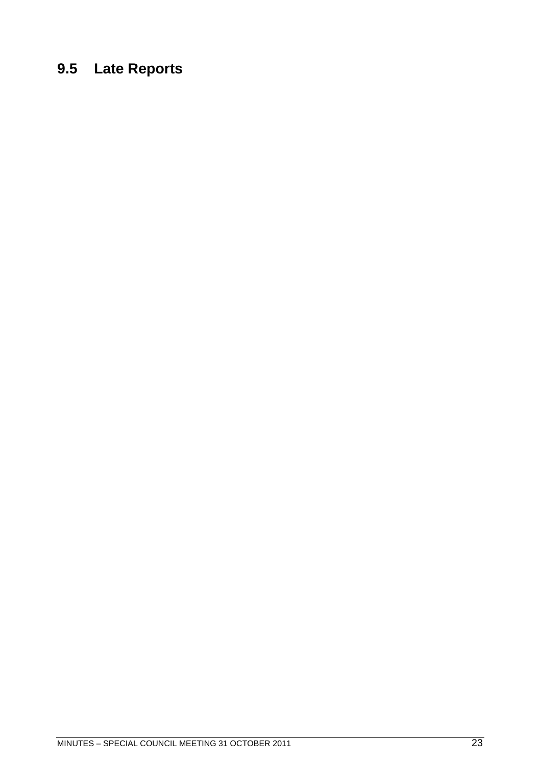# <span id="page-22-0"></span>**9.5 Late Reports**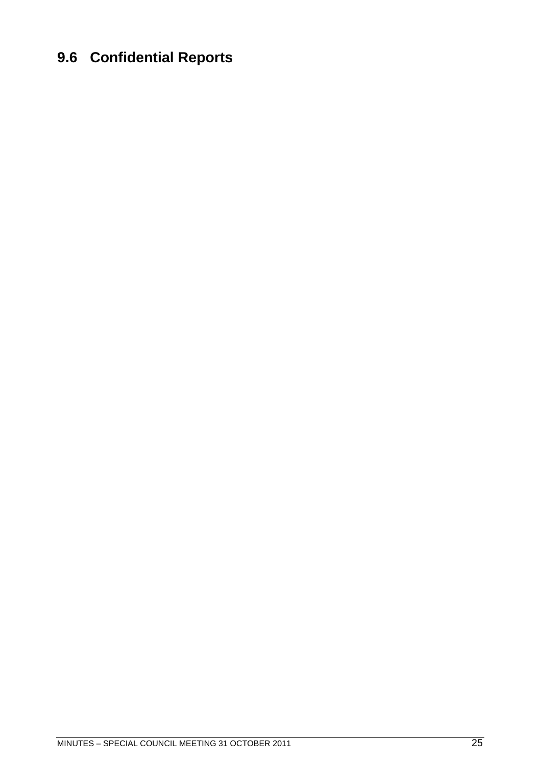## <span id="page-24-0"></span>**9.6 Confidential Reports**